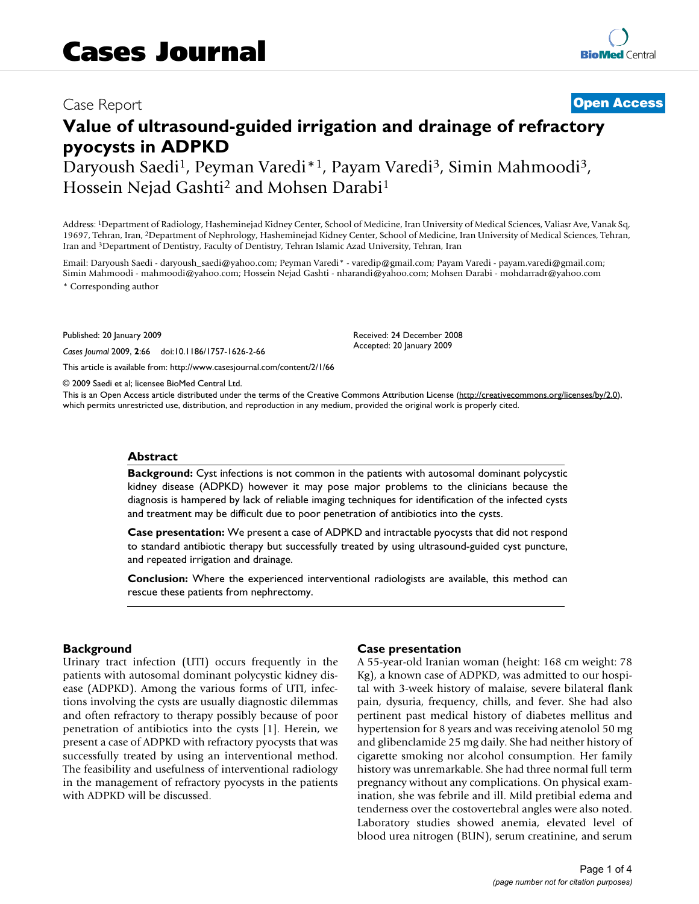## Case Report **[Open Access](http://www.biomedcentral.com/info/about/charter/)**

# **Value of ultrasound-guided irrigation and drainage of refractory pyocysts in ADPKD**

Daryoush Saedi<sup>1</sup>, Peyman Varedi<sup>\*1</sup>, Payam Varedi<sup>3</sup>, Simin Mahmoodi<sup>3</sup>, Hossein Nejad Gashti<sup>2</sup> and Mohsen Darabi<sup>1</sup>

Address: 1Department of Radiology, Hasheminejad Kidney Center, School of Medicine, Iran University of Medical Sciences, Valiasr Ave, Vanak Sq, 19697, Tehran, Iran, 2Department of Nephrology, Hasheminejad Kidney Center, School of Medicine, Iran University of Medical Sciences, Tehran, Iran and 3Department of Dentistry, Faculty of Dentistry, Tehran Islamic Azad University, Tehran, Iran

Email: Daryoush Saedi - daryoush\_saedi@yahoo.com; Peyman Varedi\* - varedip@gmail.com; Payam Varedi - payam.varedi@gmail.com; Simin Mahmoodi - mahmoodi@yahoo.com; Hossein Nejad Gashti - nharandi@yahoo.com; Mohsen Darabi - mohdarradr@yahoo.com \* Corresponding author

Published: 20 January 2009

*Cases Journal* 2009, **2**:66 doi:10.1186/1757-1626-2-66

[This article is available from: http://www.casesjournal.com/content/2/1/66](http://www.casesjournal.com/content/2/1/66)

© 2009 Saedi et al; licensee BioMed Central Ltd.

This is an Open Access article distributed under the terms of the Creative Commons Attribution License [\(http://creativecommons.org/licenses/by/2.0\)](http://creativecommons.org/licenses/by/2.0), which permits unrestricted use, distribution, and reproduction in any medium, provided the original work is properly cited.

#### **Abstract**

**Background:** Cyst infections is not common in the patients with autosomal dominant polycystic kidney disease (ADPKD) however it may pose major problems to the clinicians because the diagnosis is hampered by lack of reliable imaging techniques for identification of the infected cysts and treatment may be difficult due to poor penetration of antibiotics into the cysts.

**Case presentation:** We present a case of ADPKD and intractable pyocysts that did not respond to standard antibiotic therapy but successfully treated by using ultrasound-guided cyst puncture, and repeated irrigation and drainage.

**Conclusion:** Where the experienced interventional radiologists are available, this method can rescue these patients from nephrectomy.

#### **Background**

Urinary tract infection (UTI) occurs frequently in the patients with autosomal dominant polycystic kidney disease (ADPKD). Among the various forms of UTI, infections involving the cysts are usually diagnostic dilemmas and often refractory to therapy possibly because of poor penetration of antibiotics into the cysts [1]. Herein, we present a case of ADPKD with refractory pyocysts that was successfully treated by using an interventional method. The feasibility and usefulness of interventional radiology in the management of refractory pyocysts in the patients with ADPKD will be discussed.

#### **Case presentation**

Received: 24 December 2008 Accepted: 20 January 2009

A 55-year-old Iranian woman (height: 168 cm weight: 78 Kg), a known case of ADPKD, was admitted to our hospital with 3-week history of malaise, severe bilateral flank pain, dysuria, frequency, chills, and fever. She had also pertinent past medical history of diabetes mellitus and hypertension for 8 years and was receiving atenolol 50 mg and glibenclamide 25 mg daily. She had neither history of cigarette smoking nor alcohol consumption. Her family history was unremarkable. She had three normal full term pregnancy without any complications. On physical examination, she was febrile and ill. Mild pretibial edema and tenderness over the costovertebral angles were also noted. Laboratory studies showed anemia, elevated level of blood urea nitrogen (BUN), serum creatinine, and serum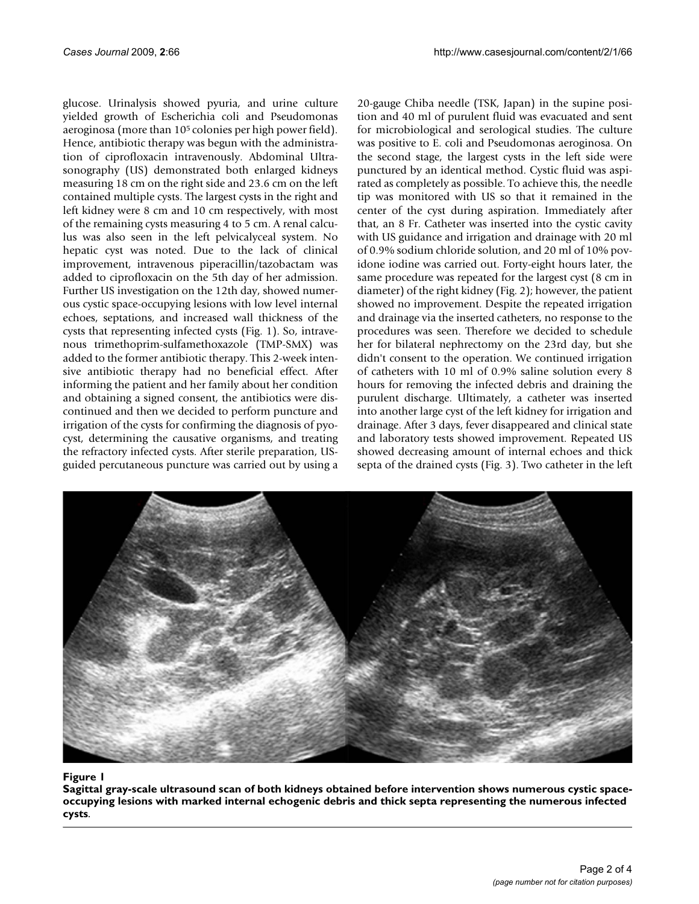glucose. Urinalysis showed pyuria, and urine culture yielded growth of Escherichia coli and Pseudomonas aeroginosa (more than 105 colonies per high power field). Hence, antibiotic therapy was begun with the administration of ciprofloxacin intravenously. Abdominal Ultrasonography (US) demonstrated both enlarged kidneys measuring 18 cm on the right side and 23.6 cm on the left contained multiple cysts. The largest cysts in the right and left kidney were 8 cm and 10 cm respectively, with most of the remaining cysts measuring 4 to 5 cm. A renal calculus was also seen in the left pelvicalyceal system. No hepatic cyst was noted. Due to the lack of clinical improvement, intravenous piperacillin/tazobactam was added to ciprofloxacin on the 5th day of her admission. Further US investigation on the 12th day, showed numerous cystic space-occupying lesions with low level internal echoes, septations, and increased wall thickness of the cysts that representing infected cysts (Fig. 1). So, intravenous trimethoprim-sulfamethoxazole (TMP-SMX) was added to the former antibiotic therapy. This 2-week intensive antibiotic therapy had no beneficial effect. After informing the patient and her family about her condition and obtaining a signed consent, the antibiotics were discontinued and then we decided to perform puncture and irrigation of the cysts for confirming the diagnosis of pyocyst, determining the causative organisms, and treating the refractory infected cysts. After sterile preparation, USguided percutaneous puncture was carried out by using a 20-gauge Chiba needle (TSK, Japan) in the supine position and 40 ml of purulent fluid was evacuated and sent for microbiological and serological studies. The culture was positive to E. coli and Pseudomonas aeroginosa. On the second stage, the largest cysts in the left side were punctured by an identical method. Cystic fluid was aspirated as completely as possible. To achieve this, the needle tip was monitored with US so that it remained in the center of the cyst during aspiration. Immediately after that, an 8 Fr. Catheter was inserted into the cystic cavity with US guidance and irrigation and drainage with 20 ml of 0.9% sodium chloride solution, and 20 ml of 10% povidone iodine was carried out. Forty-eight hours later, the same procedure was repeated for the largest cyst (8 cm in diameter) of the right kidney (Fig. 2); however, the patient showed no improvement. Despite the repeated irrigation and drainage via the inserted catheters, no response to the procedures was seen. Therefore we decided to schedule her for bilateral nephrectomy on the 23rd day, but she didn't consent to the operation. We continued irrigation of catheters with 10 ml of 0.9% saline solution every 8 hours for removing the infected debris and draining the purulent discharge. Ultimately, a catheter was inserted into another large cyst of the left kidney for irrigation and drainage. After 3 days, fever disappeared and clinical state and laboratory tests showed improvement. Repeated US showed decreasing amount of internal echoes and thick septa of the drained cysts (Fig. 3). Two catheter in the left



#### Figure 1 and 2008 and 2008 and 2008 and 2008 and 2008 and 2008 and 2008 and 2008 and 2008 and 2008 and 2008 an

**Sagittal gray-scale ultrasound scan of both kidneys obtained before intervention shows numerous cystic spaceoccupying lesions with marked internal echogenic debris and thick septa representing the numerous infected cysts**.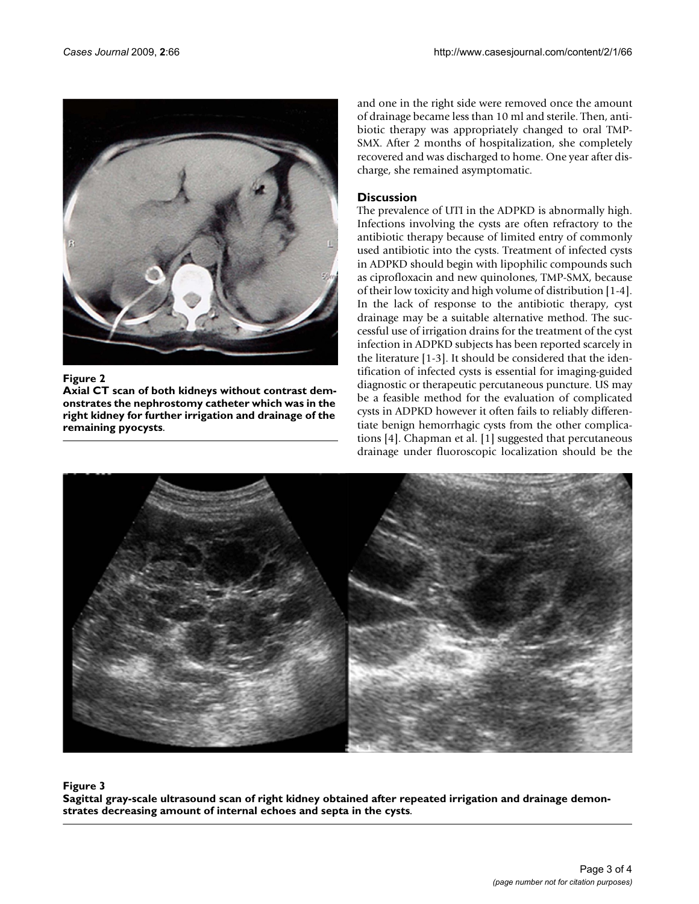

#### Figure 2

**Axial CT scan of both kidneys without contrast demonstrates the nephrostomy catheter which was in the right kidney for further irrigation and drainage of the remaining pyocysts**.

and one in the right side were removed once the amount of drainage became less than 10 ml and sterile. Then, antibiotic therapy was appropriately changed to oral TMP-SMX. After 2 months of hospitalization, she completely recovered and was discharged to home. One year after discharge, she remained asymptomatic.

#### **Discussion**

The prevalence of UTI in the ADPKD is abnormally high. Infections involving the cysts are often refractory to the antibiotic therapy because of limited entry of commonly used antibiotic into the cysts. Treatment of infected cysts in ADPKD should begin with lipophilic compounds such as ciprofloxacin and new quinolones, TMP-SMX, because of their low toxicity and high volume of distribution [1-4]. In the lack of response to the antibiotic therapy, cyst drainage may be a suitable alternative method. The successful use of irrigation drains for the treatment of the cyst infection in ADPKD subjects has been reported scarcely in the literature [1-3]. It should be considered that the identification of infected cysts is essential for imaging-guided diagnostic or therapeutic percutaneous puncture. US may be a feasible method for the evaluation of complicated cysts in ADPKD however it often fails to reliably differentiate benign hemorrhagic cysts from the other complications [4]. Chapman et al. [1] suggested that percutaneous drainage under fluoroscopic localization should be the



### Sagittal gray-scale ultrasound sc amount of internal echoes and septa in the cysts **Figure 3** an of right kidney obtained after repeated irrigation and drainage demonstrates decreasing

**Sagittal gray-scale ultrasound scan of right kidney obtained after repeated irrigation and drainage demonstrates decreasing amount of internal echoes and septa in the cysts**.